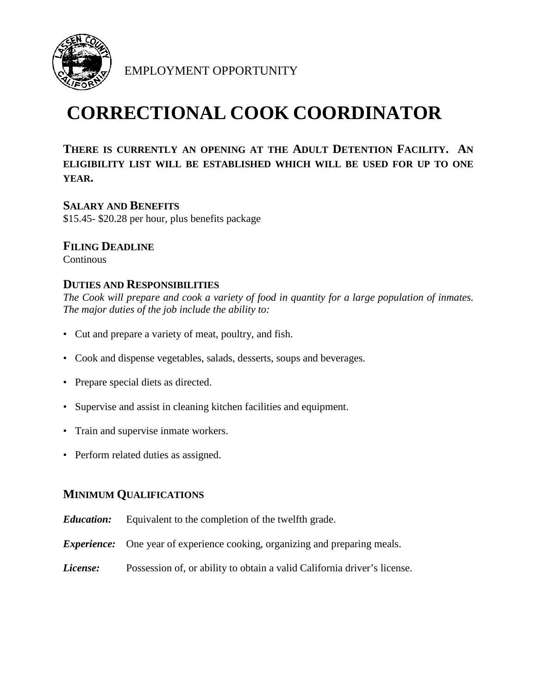

EMPLOYMENT OPPORTUNITY

# **CORRECTIONAL COOK COORDINATOR**

**THERE IS CURRENTLY AN OPENING AT THE ADULT DETENTION FACILITY. AN ELIGIBILITY LIST WILL BE ESTABLISHED WHICH WILL BE USED FOR UP TO ONE YEAR.**

**SALARY AND BENEFITS** \$15.45- \$20.28 per hour, plus benefits package

# **FILING DEADLINE**

**Continous** 

## **DUTIES AND RESPONSIBILITIES**

*The Cook will prepare and cook a variety of food in quantity for a large population of inmates. The major duties of the job include the ability to:*

- Cut and prepare a variety of meat, poultry, and fish.
- Cook and dispense vegetables, salads, desserts, soups and beverages.
- Prepare special diets as directed.
- Supervise and assist in cleaning kitchen facilities and equipment.
- Train and supervise inmate workers.
- Perform related duties as assigned.

### **MINIMUM QUALIFICATIONS**

- *Education:* Equivalent to the completion of the twelfth grade.
- *Experience:* One year of experience cooking, organizing and preparing meals.
- *License:* Possession of, or ability to obtain a valid California driver's license.